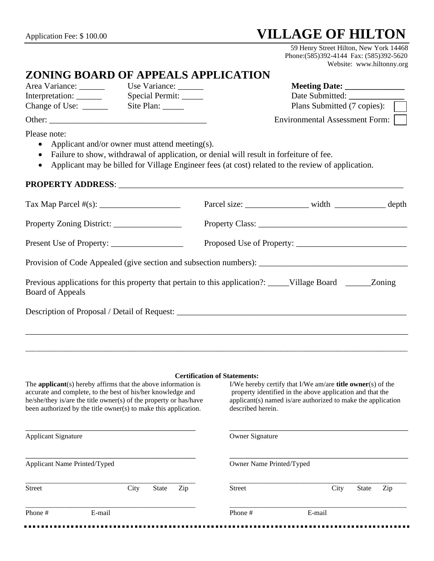## Application Fee: \$ 100.00 **VILLAGE OF HILTON**

 59 Henry Street Hilton, New York 14468 Phone:(585)392-4144 Fax: (585)392-5620 Website: www.hiltonny.org

# **ZONING BOARD OF APPEALS APPLICATION**<br>Area Variance: Use Variance: \_\_\_\_\_

Area Variance: Use Variance: Use Variance: Meeting Date:

Interpretation: \_\_\_\_\_\_\_\_ Special Permit: \_\_\_\_\_\_ Date Submitted: \_\_\_\_\_\_\_\_\_\_\_\_\_\_\_\_\_ Change of Use: \_\_\_\_\_\_\_ Site Plan: \_\_\_\_\_\_ Site Plan: Plans Submitted (7 copies):

Other: \_\_\_\_\_\_\_\_\_\_\_\_\_\_\_\_\_\_\_\_\_\_\_\_\_\_\_\_\_\_\_\_\_\_\_\_\_ Environmental Assessment Form:

Please note:

- Applicant and/or owner must attend meeting(s).
- Failure to show, withdrawal of application, or denial will result in forfeiture of fee.
- Applicant may be billed for Village Engineer fees (at cost) related to the review of application.

#### **PROPERTY ADDRESS**: \_\_\_\_\_\_\_\_\_\_\_\_\_\_\_\_\_\_\_\_\_\_\_\_\_\_\_\_\_\_\_\_\_\_\_\_\_\_\_\_\_\_\_\_\_\_\_\_\_\_\_\_\_\_\_\_\_\_\_\_\_\_\_\_\_\_\_

|                                                                                                                                | Parcel size: _______________________ width ________________ depth |  |  |  |  |  |
|--------------------------------------------------------------------------------------------------------------------------------|-------------------------------------------------------------------|--|--|--|--|--|
|                                                                                                                                |                                                                   |  |  |  |  |  |
|                                                                                                                                |                                                                   |  |  |  |  |  |
| Provision of Code Appealed (give section and subsection numbers): __________________________________                           |                                                                   |  |  |  |  |  |
| Previous applications for this property that pertain to this application?: _____Village Board ______Zoning<br>Board of Appeals |                                                                   |  |  |  |  |  |
| Description of Proposal / Detail of Request: ___________________________________                                               |                                                                   |  |  |  |  |  |
|                                                                                                                                |                                                                   |  |  |  |  |  |
|                                                                                                                                |                                                                   |  |  |  |  |  |

#### **Certification of Statements:**

\_\_\_\_\_\_\_\_\_\_\_\_\_\_\_\_\_\_\_\_\_\_\_\_\_\_\_\_\_\_\_\_\_\_\_\_\_\_\_\_\_\_\_\_\_\_\_\_\_\_\_\_\_\_\_\_\_\_\_\_\_\_\_\_\_\_\_\_\_\_\_\_\_\_\_\_\_\_\_\_\_\_\_\_\_\_\_\_\_\_\_\_\_\_\_\_\_\_\_\_\_\_\_\_\_\_\_\_

| The <b>applicant</b> (s) hereby affirms that the above information is<br>accurate and complete, to the best of his/her knowledge and<br>he/she/they is/are the title owner(s) of the property or has/have<br>been authorized by the title owner(s) to make this application. |        |      |              |                          | I/We hereby certify that I/We am/are <b>title owner</b> (s) of the<br>property identified in the above application and that the<br>applicant(s) named is/are authorized to make the application<br>described herein. |        |              |     |  |
|------------------------------------------------------------------------------------------------------------------------------------------------------------------------------------------------------------------------------------------------------------------------------|--------|------|--------------|--------------------------|----------------------------------------------------------------------------------------------------------------------------------------------------------------------------------------------------------------------|--------|--------------|-----|--|
| <b>Applicant Signature</b>                                                                                                                                                                                                                                                   |        |      |              | <b>Owner Signature</b>   |                                                                                                                                                                                                                      |        |              |     |  |
| Applicant Name Printed/Typed                                                                                                                                                                                                                                                 |        |      |              | Owner Name Printed/Typed |                                                                                                                                                                                                                      |        |              |     |  |
| <b>Street</b>                                                                                                                                                                                                                                                                |        | City | <b>State</b> | Zip                      | Street                                                                                                                                                                                                               | City   | <b>State</b> | Zip |  |
| Phone #                                                                                                                                                                                                                                                                      | E-mail |      |              |                          | Phone #                                                                                                                                                                                                              | E-mail |              |     |  |